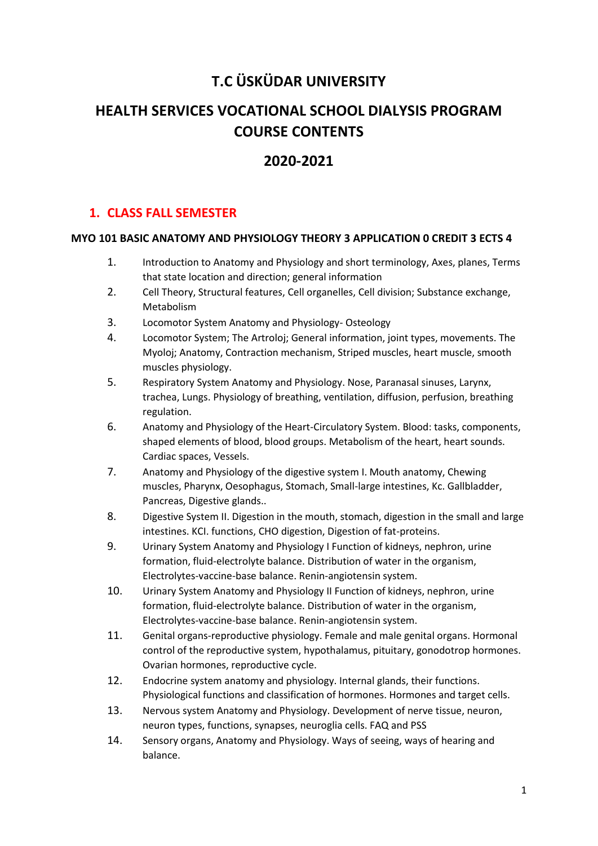# **T.C ÜSKÜDAR UNIVERSITY**

# **HEALTH SERVICES VOCATIONAL SCHOOL DIALYSIS PROGRAM COURSE CONTENTS**

# **2020-2021**

# **1. CLASS FALL SEMESTER**

## **MYO 101 BASIC ANATOMY AND PHYSIOLOGY THEORY 3 APPLICATION 0 CREDIT 3 ECTS 4**

- 1. Introduction to Anatomy and Physiology and short terminology, Axes, planes, Terms that state location and direction; general information
- 2. Cell Theory, Structural features, Cell organelles, Cell division; Substance exchange, Metabolism
- 3. Locomotor System Anatomy and Physiology- Osteology
- 4. Locomotor System; The Artroloj; General information, joint types, movements. The Myoloj; Anatomy, Contraction mechanism, Striped muscles, heart muscle, smooth muscles physiology.
- 5. Respiratory System Anatomy and Physiology. Nose, Paranasal sinuses, Larynx, trachea, Lungs. Physiology of breathing, ventilation, diffusion, perfusion, breathing regulation.
- 6. Anatomy and Physiology of the Heart-Circulatory System. Blood: tasks, components, shaped elements of blood, blood groups. Metabolism of the heart, heart sounds. Cardiac spaces, Vessels.
- 7. Anatomy and Physiology of the digestive system I. Mouth anatomy, Chewing muscles, Pharynx, Oesophagus, Stomach, Small-large intestines, Kc. Gallbladder, Pancreas, Digestive glands..
- 8. Digestive System II. Digestion in the mouth, stomach, digestion in the small and large intestines. KCI. functions, CHO digestion, Digestion of fat-proteins.
- 9. Urinary System Anatomy and Physiology I Function of kidneys, nephron, urine formation, fluid-electrolyte balance. Distribution of water in the organism, Electrolytes-vaccine-base balance. Renin-angiotensin system.
- 10. Urinary System Anatomy and Physiology II Function of kidneys, nephron, urine formation, fluid-electrolyte balance. Distribution of water in the organism, Electrolytes-vaccine-base balance. Renin-angiotensin system.
- 11. Genital organs-reproductive physiology. Female and male genital organs. Hormonal control of the reproductive system, hypothalamus, pituitary, gonodotrop hormones. Ovarian hormones, reproductive cycle.
- 12. Endocrine system anatomy and physiology. Internal glands, their functions. Physiological functions and classification of hormones. Hormones and target cells.
- 13. Nervous system Anatomy and Physiology. Development of nerve tissue, neuron, neuron types, functions, synapses, neuroglia cells. FAQ and PSS
- 14. Sensory organs, Anatomy and Physiology. Ways of seeing, ways of hearing and balance.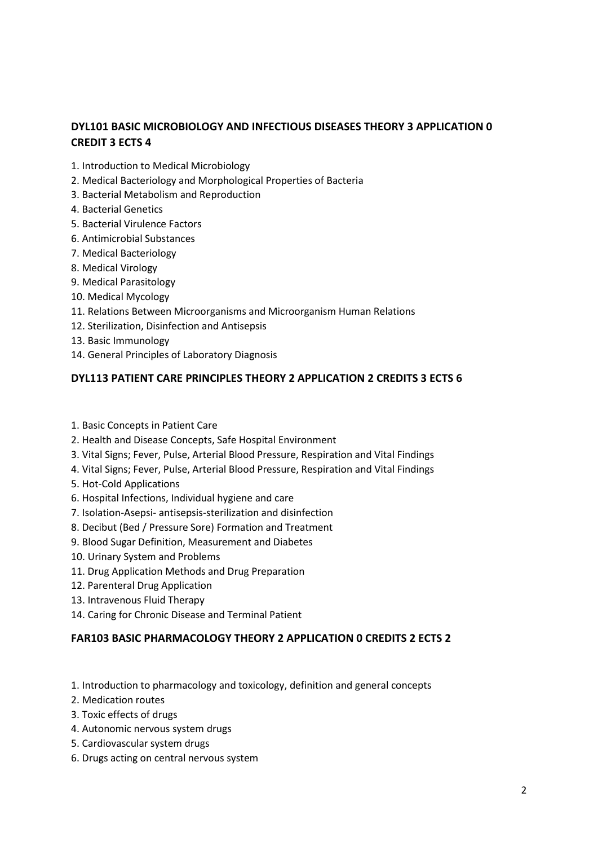# **DYL101 BASIC MICROBIOLOGY AND INFECTIOUS DISEASES THEORY 3 APPLICATION 0 CREDIT 3 ECTS 4**

- 1. Introduction to Medical Microbiology
- 2. Medical Bacteriology and Morphological Properties of Bacteria
- 3. Bacterial Metabolism and Reproduction
- 4. Bacterial Genetics
- 5. Bacterial Virulence Factors
- 6. Antimicrobial Substances
- 7. Medical Bacteriology
- 8. Medical Virology
- 9. Medical Parasitology
- 10. Medical Mycology
- 11. Relations Between Microorganisms and Microorganism Human Relations
- 12. Sterilization, Disinfection and Antisepsis
- 13. Basic Immunology
- 14. General Principles of Laboratory Diagnosis

#### **DYL113 PATIENT CARE PRINCIPLES THEORY 2 APPLICATION 2 CREDITS 3 ECTS 6**

- 1. Basic Concepts in Patient Care
- 2. Health and Disease Concepts, Safe Hospital Environment
- 3. Vital Signs; Fever, Pulse, Arterial Blood Pressure, Respiration and Vital Findings
- 4. Vital Signs; Fever, Pulse, Arterial Blood Pressure, Respiration and Vital Findings
- 5. Hot-Cold Applications
- 6. Hospital Infections, Individual hygiene and care
- 7. Isolation-Asepsi- antisepsis-sterilization and disinfection
- 8. Decibut (Bed / Pressure Sore) Formation and Treatment
- 9. Blood Sugar Definition, Measurement and Diabetes
- 10. Urinary System and Problems
- 11. Drug Application Methods and Drug Preparation
- 12. Parenteral Drug Application
- 13. Intravenous Fluid Therapy
- 14. Caring for Chronic Disease and Terminal Patient

#### **FAR103 BASIC PHARMACOLOGY THEORY 2 APPLICATION 0 CREDITS 2 ECTS 2**

- 1. Introduction to pharmacology and toxicology, definition and general concepts
- 2. Medication routes
- 3. Toxic effects of drugs
- 4. Autonomic nervous system drugs
- 5. Cardiovascular system drugs
- 6. Drugs acting on central nervous system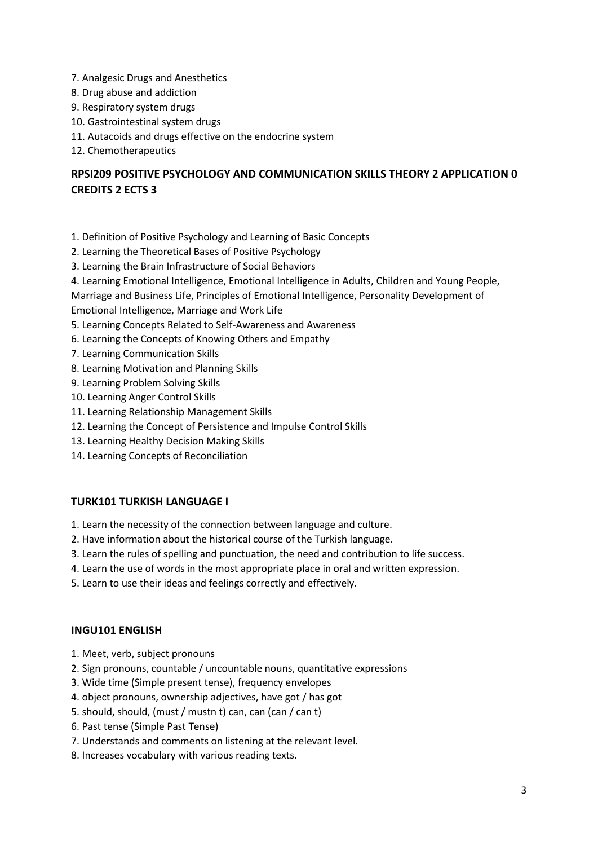- 7. Analgesic Drugs and Anesthetics
- 8. Drug abuse and addiction
- 9. Respiratory system drugs
- 10. Gastrointestinal system drugs
- 11. Autacoids and drugs effective on the endocrine system
- 12. Chemotherapeutics

# **RPSI209 POSITIVE PSYCHOLOGY AND COMMUNICATION SKILLS THEORY 2 APPLICATION 0 CREDITS 2 ECTS 3**

- 1. Definition of Positive Psychology and Learning of Basic Concepts
- 2. Learning the Theoretical Bases of Positive Psychology
- 3. Learning the Brain Infrastructure of Social Behaviors
- 4. Learning Emotional Intelligence, Emotional Intelligence in Adults, Children and Young People,

Marriage and Business Life, Principles of Emotional Intelligence, Personality Development of Emotional Intelligence, Marriage and Work Life

- 5. Learning Concepts Related to Self-Awareness and Awareness
- 6. Learning the Concepts of Knowing Others and Empathy
- 7. Learning Communication Skills
- 8. Learning Motivation and Planning Skills
- 9. Learning Problem Solving Skills
- 10. Learning Anger Control Skills
- 11. Learning Relationship Management Skills
- 12. Learning the Concept of Persistence and Impulse Control Skills
- 13. Learning Healthy Decision Making Skills
- 14. Learning Concepts of Reconciliation

#### **TURK101 TURKISH LANGUAGE I**

- 1. Learn the necessity of the connection between language and culture.
- 2. Have information about the historical course of the Turkish language.
- 3. Learn the rules of spelling and punctuation, the need and contribution to life success.
- 4. Learn the use of words in the most appropriate place in oral and written expression.
- 5. Learn to use their ideas and feelings correctly and effectively.

#### **INGU101 ENGLISH**

- 1. Meet, verb, subject pronouns
- 2. Sign pronouns, countable / uncountable nouns, quantitative expressions
- 3. Wide time (Simple present tense), frequency envelopes
- 4. object pronouns, ownership adjectives, have got / has got
- 5. should, should, (must / mustn t) can, can (can / can t)
- 6. Past tense (Simple Past Tense)
- 7. Understands and comments on listening at the relevant level.
- 8. Increases vocabulary with various reading texts.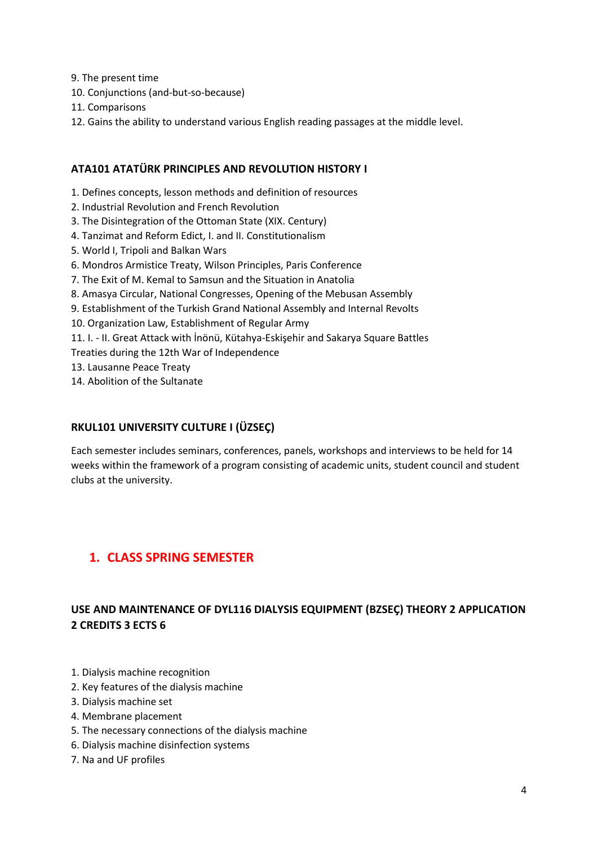- 9. The present time
- 10. Conjunctions (and-but-so-because)
- 11. Comparisons
- 12. Gains the ability to understand various English reading passages at the middle level.

#### **ATA101 ATATÜRK PRINCIPLES AND REVOLUTION HISTORY I**

- 1. Defines concepts, lesson methods and definition of resources
- 2. Industrial Revolution and French Revolution
- 3. The Disintegration of the Ottoman State (XIX. Century)
- 4. Tanzimat and Reform Edict, I. and II. Constitutionalism
- 5. World I, Tripoli and Balkan Wars
- 6. Mondros Armistice Treaty, Wilson Principles, Paris Conference
- 7. The Exit of M. Kemal to Samsun and the Situation in Anatolia
- 8. Amasya Circular, National Congresses, Opening of the Mebusan Assembly
- 9. Establishment of the Turkish Grand National Assembly and Internal Revolts
- 10. Organization Law, Establishment of Regular Army
- 11. I. II. Great Attack with İnönü, Kütahya-Eskişehir and Sakarya Square Battles
- Treaties during the 12th War of Independence
- 13. Lausanne Peace Treaty
- 14. Abolition of the Sultanate

## **RKUL101 UNIVERSITY CULTURE I (ÜZSEÇ)**

Each semester includes seminars, conferences, panels, workshops and interviews to be held for 14 weeks within the framework of a program consisting of academic units, student council and student clubs at the university.

# **1. CLASS SPRING SEMESTER**

# **USE AND MAINTENANCE OF DYL116 DIALYSIS EQUIPMENT (BZSEÇ) THEORY 2 APPLICATION 2 CREDITS 3 ECTS 6**

- 1. Dialysis machine recognition
- 2. Key features of the dialysis machine
- 3. Dialysis machine set
- 4. Membrane placement
- 5. The necessary connections of the dialysis machine
- 6. Dialysis machine disinfection systems
- 7. Na and UF profiles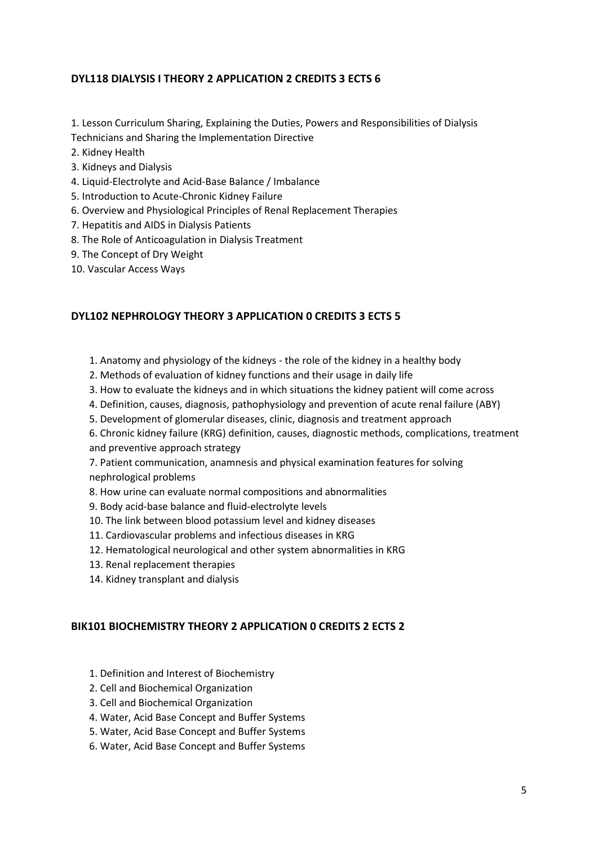#### **DYL118 DIALYSIS I THEORY 2 APPLICATION 2 CREDITS 3 ECTS 6**

- 1. Lesson Curriculum Sharing, Explaining the Duties, Powers and Responsibilities of Dialysis
- Technicians and Sharing the Implementation Directive
- 2. Kidney Health
- 3. Kidneys and Dialysis
- 4. Liquid-Electrolyte and Acid-Base Balance / Imbalance
- 5. Introduction to Acute-Chronic Kidney Failure
- 6. Overview and Physiological Principles of Renal Replacement Therapies
- 7. Hepatitis and AIDS in Dialysis Patients
- 8. The Role of Anticoagulation in Dialysis Treatment
- 9. The Concept of Dry Weight
- 10. Vascular Access Ways

#### **DYL102 NEPHROLOGY THEORY 3 APPLICATION 0 CREDITS 3 ECTS 5**

- 1. Anatomy and physiology of the kidneys the role of the kidney in a healthy body
- 2. Methods of evaluation of kidney functions and their usage in daily life
- 3. How to evaluate the kidneys and in which situations the kidney patient will come across
- 4. Definition, causes, diagnosis, pathophysiology and prevention of acute renal failure (ABY)
- 5. Development of glomerular diseases, clinic, diagnosis and treatment approach
- 6. Chronic kidney failure (KRG) definition, causes, diagnostic methods, complications, treatment and preventive approach strategy
- 7. Patient communication, anamnesis and physical examination features for solving nephrological problems
- 8. How urine can evaluate normal compositions and abnormalities
- 9. Body acid-base balance and fluid-electrolyte levels
- 10. The link between blood potassium level and kidney diseases
- 11. Cardiovascular problems and infectious diseases in KRG
- 12. Hematological neurological and other system abnormalities in KRG
- 13. Renal replacement therapies
- 14. Kidney transplant and dialysis

#### **BIK101 BIOCHEMISTRY THEORY 2 APPLICATION 0 CREDITS 2 ECTS 2**

- 1. Definition and Interest of Biochemistry
- 2. Cell and Biochemical Organization
- 3. Cell and Biochemical Organization
- 4. Water, Acid Base Concept and Buffer Systems
- 5. Water, Acid Base Concept and Buffer Systems
- 6. Water, Acid Base Concept and Buffer Systems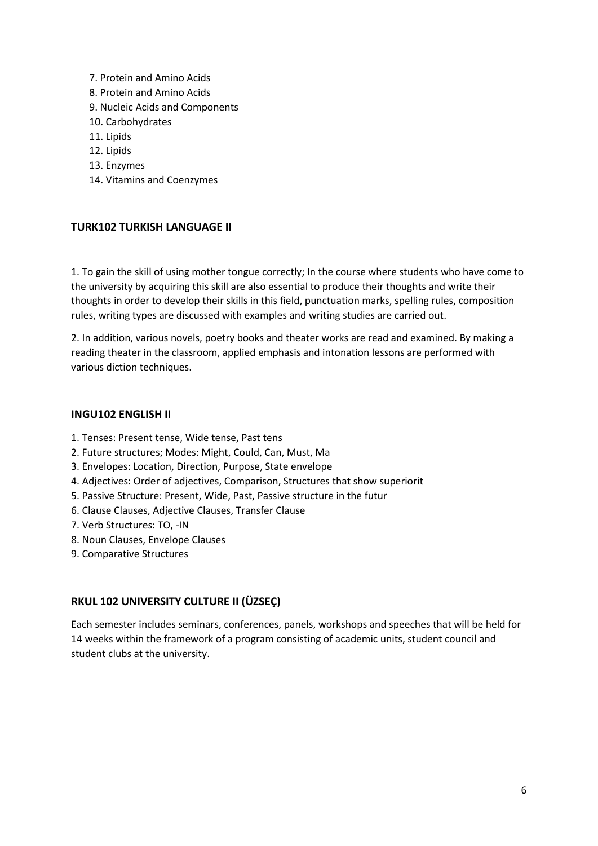- 7. Protein and Amino Acids
- 8. Protein and Amino Acids
- 9. Nucleic Acids and Components
- 10. Carbohydrates
- 11. Lipids
- 12. Lipids
- 13. Enzymes
- 14. Vitamins and Coenzymes

## **TURK102 TURKISH LANGUAGE II**

1. To gain the skill of using mother tongue correctly; In the course where students who have come to the university by acquiring this skill are also essential to produce their thoughts and write their thoughts in order to develop their skills in this field, punctuation marks, spelling rules, composition rules, writing types are discussed with examples and writing studies are carried out.

2. In addition, various novels, poetry books and theater works are read and examined. By making a reading theater in the classroom, applied emphasis and intonation lessons are performed with various diction techniques.

#### **INGU102 ENGLISH II**

- 1. Tenses: Present tense, Wide tense, Past tens
- 2. Future structures; Modes: Might, Could, Can, Must, Ma
- 3. Envelopes: Location, Direction, Purpose, State envelope
- 4. Adjectives: Order of adjectives, Comparison, Structures that show superiorit
- 5. Passive Structure: Present, Wide, Past, Passive structure in the futur
- 6. Clause Clauses, Adjective Clauses, Transfer Clause
- 7. Verb Structures: TO, -IN
- 8. Noun Clauses, Envelope Clauses
- 9. Comparative Structures

## **RKUL 102 UNIVERSITY CULTURE II (ÜZSEÇ)**

Each semester includes seminars, conferences, panels, workshops and speeches that will be held for 14 weeks within the framework of a program consisting of academic units, student council and student clubs at the university.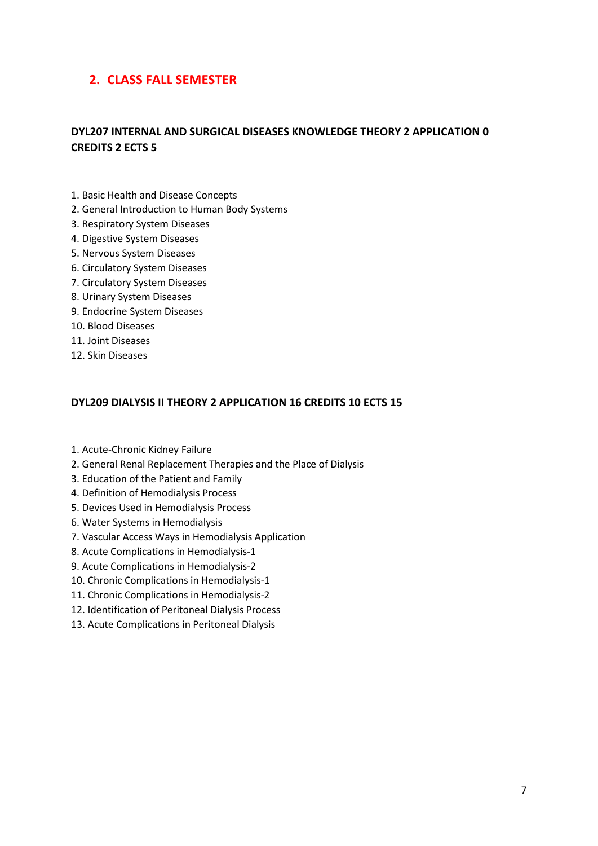# **2. CLASS FALL SEMESTER**

## **DYL207 INTERNAL AND SURGICAL DISEASES KNOWLEDGE THEORY 2 APPLICATION 0 CREDITS 2 ECTS 5**

- 1. Basic Health and Disease Concepts
- 2. General Introduction to Human Body Systems
- 3. Respiratory System Diseases
- 4. Digestive System Diseases
- 5. Nervous System Diseases
- 6. Circulatory System Diseases
- 7. Circulatory System Diseases
- 8. Urinary System Diseases
- 9. Endocrine System Diseases
- 10. Blood Diseases
- 11. Joint Diseases
- 12. Skin Diseases

#### **DYL209 DIALYSIS II THEORY 2 APPLICATION 16 CREDITS 10 ECTS 15**

- 1. Acute-Chronic Kidney Failure
- 2. General Renal Replacement Therapies and the Place of Dialysis
- 3. Education of the Patient and Family
- 4. Definition of Hemodialysis Process
- 5. Devices Used in Hemodialysis Process
- 6. Water Systems in Hemodialysis
- 7. Vascular Access Ways in Hemodialysis Application
- 8. Acute Complications in Hemodialysis-1
- 9. Acute Complications in Hemodialysis-2
- 10. Chronic Complications in Hemodialysis-1
- 11. Chronic Complications in Hemodialysis-2
- 12. Identification of Peritoneal Dialysis Process
- 13. Acute Complications in Peritoneal Dialysis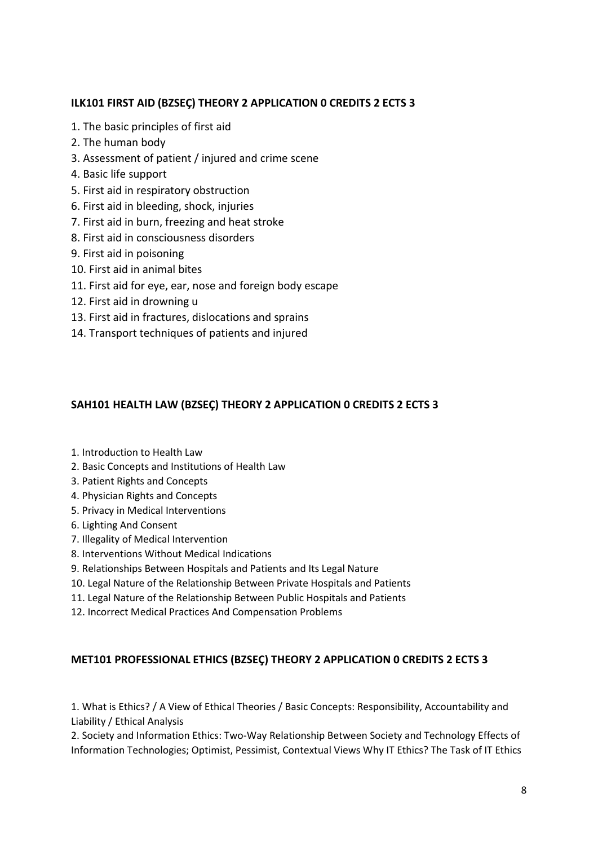## **ILK101 FIRST AID (BZSEÇ) THEORY 2 APPLICATION 0 CREDITS 2 ECTS 3**

- 1. The basic principles of first aid
- 2. The human body
- 3. Assessment of patient / injured and crime scene
- 4. Basic life support
- 5. First aid in respiratory obstruction
- 6. First aid in bleeding, shock, injuries
- 7. First aid in burn, freezing and heat stroke
- 8. First aid in consciousness disorders
- 9. First aid in poisoning
- 10. First aid in animal bites
- 11. First aid for eye, ear, nose and foreign body escape
- 12. First aid in drowning u
- 13. First aid in fractures, dislocations and sprains
- 14. Transport techniques of patients and injured

### **SAH101 HEALTH LAW (BZSEÇ) THEORY 2 APPLICATION 0 CREDITS 2 ECTS 3**

- 1. Introduction to Health Law
- 2. Basic Concepts and Institutions of Health Law
- 3. Patient Rights and Concepts
- 4. Physician Rights and Concepts
- 5. Privacy in Medical Interventions
- 6. Lighting And Consent
- 7. Illegality of Medical Intervention
- 8. Interventions Without Medical Indications
- 9. Relationships Between Hospitals and Patients and Its Legal Nature
- 10. Legal Nature of the Relationship Between Private Hospitals and Patients
- 11. Legal Nature of the Relationship Between Public Hospitals and Patients
- 12. Incorrect Medical Practices And Compensation Problems

#### **MET101 PROFESSIONAL ETHICS (BZSEÇ) THEORY 2 APPLICATION 0 CREDITS 2 ECTS 3**

1. What is Ethics? / A View of Ethical Theories / Basic Concepts: Responsibility, Accountability and Liability / Ethical Analysis

2. Society and Information Ethics: Two-Way Relationship Between Society and Technology Effects of Information Technologies; Optimist, Pessimist, Contextual Views Why IT Ethics? The Task of IT Ethics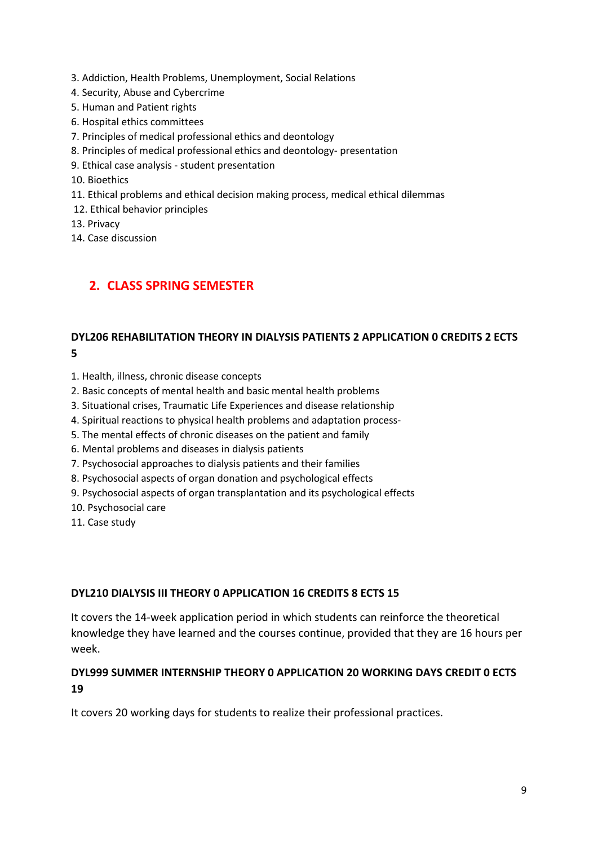- 3. Addiction, Health Problems, Unemployment, Social Relations
- 4. Security, Abuse and Cybercrime
- 5. Human and Patient rights
- 6. Hospital ethics committees
- 7. Principles of medical professional ethics and deontology
- 8. Principles of medical professional ethics and deontology- presentation
- 9. Ethical case analysis student presentation
- 10. Bioethics
- 11. Ethical problems and ethical decision making process, medical ethical dilemmas
- 12. Ethical behavior principles
- 13. Privacy
- 14. Case discussion

# **2. CLASS SPRING SEMESTER**

## **DYL206 REHABILITATION THEORY IN DIALYSIS PATIENTS 2 APPLICATION 0 CREDITS 2 ECTS 5**

- 1. Health, illness, chronic disease concepts
- 2. Basic concepts of mental health and basic mental health problems
- 3. Situational crises, Traumatic Life Experiences and disease relationship
- 4. Spiritual reactions to physical health problems and adaptation process-
- 5. The mental effects of chronic diseases on the patient and family
- 6. Mental problems and diseases in dialysis patients
- 7. Psychosocial approaches to dialysis patients and their families
- 8. Psychosocial aspects of organ donation and psychological effects
- 9. Psychosocial aspects of organ transplantation and its psychological effects
- 10. Psychosocial care
- 11. Case study

#### **DYL210 DIALYSIS III THEORY 0 APPLICATION 16 CREDITS 8 ECTS 15**

It covers the 14-week application period in which students can reinforce the theoretical knowledge they have learned and the courses continue, provided that they are 16 hours per week.

## **DYL999 SUMMER INTERNSHIP THEORY 0 APPLICATION 20 WORKING DAYS CREDIT 0 ECTS 19**

It covers 20 working days for students to realize their professional practices.